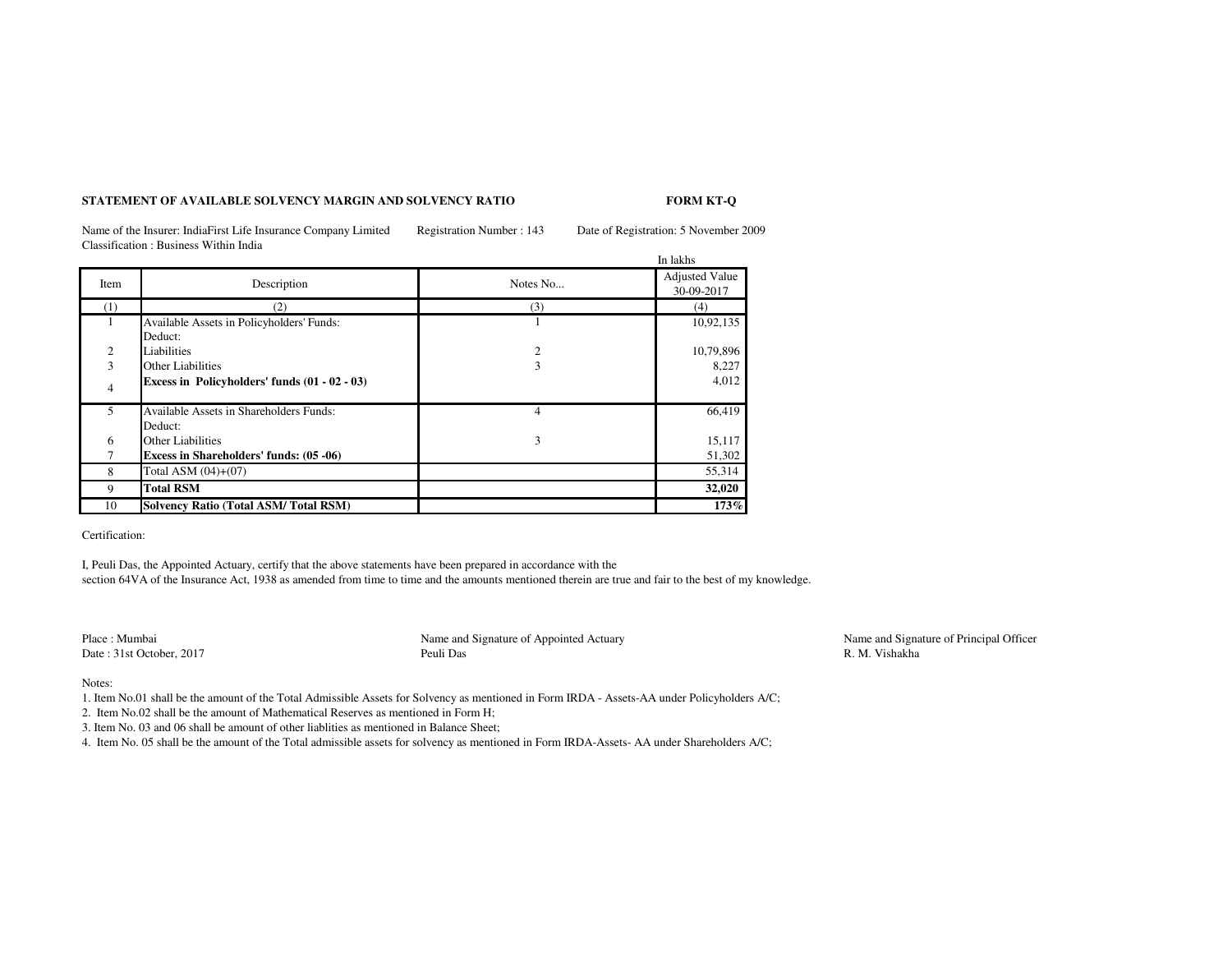## **STATEMENT OF AVAILABLE SOLVENCY MARGIN AND SOLVENCY RATIO**

## **FORM KT-Q**

Name of the Insurer: IndiaFirst Life Insurance Company Limited Registration Number : 143 Date of Registration: 5 November 2009Classification : Business Within India

|                          |                                               |                | In lakhs              |
|--------------------------|-----------------------------------------------|----------------|-----------------------|
| Item                     | Description                                   | Notes No       | <b>Adjusted Value</b> |
|                          |                                               |                | 30-09-2017            |
| (1)                      | (2)                                           | (3)            | (4)                   |
| 1                        | Available Assets in Policyholders' Funds:     |                | 10,92,135             |
|                          | Deduct:                                       |                |                       |
| 2                        | Liabilities                                   | $\overline{c}$ | 10,79,896             |
| 3                        | Other Liabilities                             | 3              | 8,227                 |
| $\overline{4}$           | Excess in Policyholders' funds (01 - 02 - 03) |                | 4,012                 |
| $\overline{\phantom{0}}$ | Available Assets in Shareholders Funds:       | 4              | 66,419                |
|                          | Deduct:                                       |                |                       |
| 6                        | <b>Other Liabilities</b>                      | 3              | 15,117                |
|                          | Excess in Shareholders' funds: (05 -06)       |                | 51,302                |
| 8                        | Total ASM $(04)+(07)$                         |                | 55,314                |
| 9                        | <b>Total RSM</b>                              |                | 32,020                |
| 10                       | <b>Solvency Ratio (Total ASM/Total RSM)</b>   |                | 173%                  |

Certification:

I, Peuli Das, the Appointed Actuary, certify that the above statements have been prepared in accordance with the section 64VA of the Insurance Act, 1938 as amended from time to time and the amounts mentioned therein are true and fair to the best of my knowledge.

Place : MumbaiDate : 31st October, 2017

 Name and Signature of Appointed ActuaryPeuli Das **R. M. Vishakha** 

Name and Signature of Principal Officer<br>R. M. Vishakha

Notes:

1. Item No.01 shall be the amount of the Total Admissible Assets for Solvency as mentioned in Form IRDA - Assets-AA under Policyholders A/C;

2. Item No.02 shall be the amount of Mathematical Reserves as mentioned in Form H;

3. Item No. 03 and 06 shall be amount of other liablities as mentioned in Balance Sheet;

4. Item No. 05 shall be the amount of the Total admissible assets for solvency as mentioned in Form IRDA-Assets- AA under Shareholders A/C;